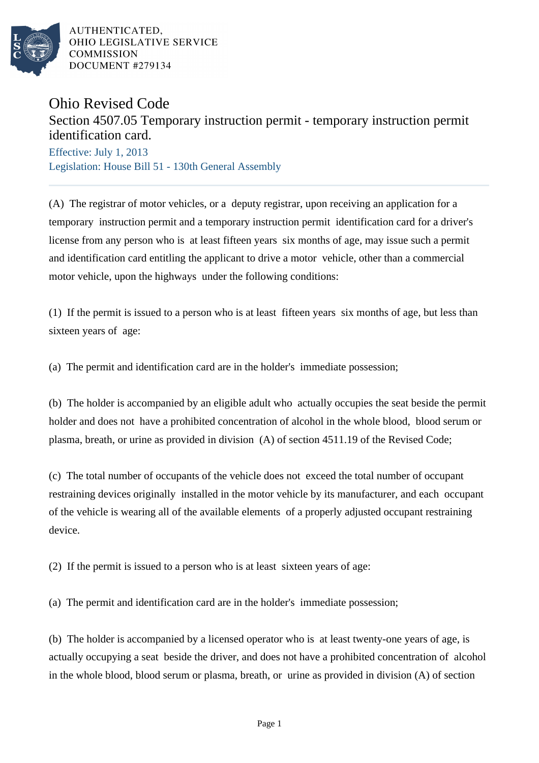

AUTHENTICATED. OHIO LEGISLATIVE SERVICE **COMMISSION** DOCUMENT #279134

## Ohio Revised Code

## Section 4507.05 Temporary instruction permit - temporary instruction permit identification card.

Effective: July 1, 2013 Legislation: House Bill 51 - 130th General Assembly

(A) The registrar of motor vehicles, or a deputy registrar, upon receiving an application for a temporary instruction permit and a temporary instruction permit identification card for a driver's license from any person who is at least fifteen years six months of age, may issue such a permit and identification card entitling the applicant to drive a motor vehicle, other than a commercial motor vehicle, upon the highways under the following conditions:

(1) If the permit is issued to a person who is at least fifteen years six months of age, but less than sixteen years of age:

(a) The permit and identification card are in the holder's immediate possession;

(b) The holder is accompanied by an eligible adult who actually occupies the seat beside the permit holder and does not have a prohibited concentration of alcohol in the whole blood, blood serum or plasma, breath, or urine as provided in division (A) of section 4511.19 of the Revised Code;

(c) The total number of occupants of the vehicle does not exceed the total number of occupant restraining devices originally installed in the motor vehicle by its manufacturer, and each occupant of the vehicle is wearing all of the available elements of a properly adjusted occupant restraining device.

(2) If the permit is issued to a person who is at least sixteen years of age:

(a) The permit and identification card are in the holder's immediate possession;

(b) The holder is accompanied by a licensed operator who is at least twenty-one years of age, is actually occupying a seat beside the driver, and does not have a prohibited concentration of alcohol in the whole blood, blood serum or plasma, breath, or urine as provided in division (A) of section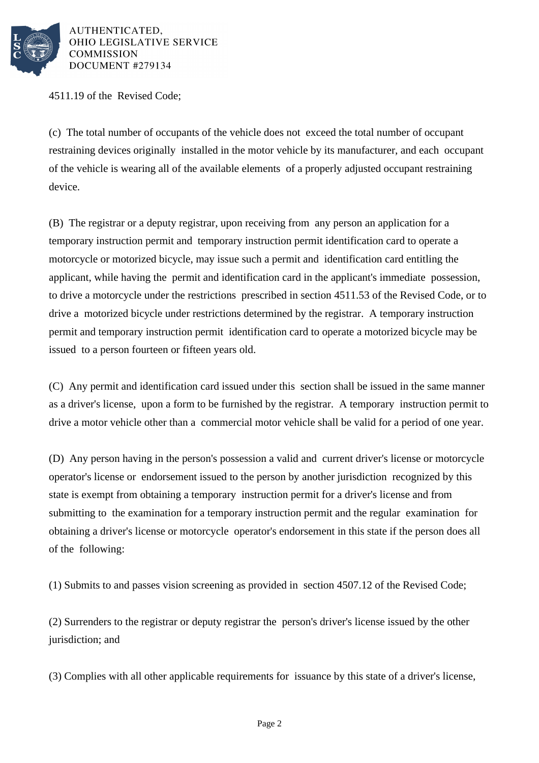

AUTHENTICATED, OHIO LEGISLATIVE SERVICE COMMISSION DOCUMENT #279134

4511.19 of the Revised Code;

(c) The total number of occupants of the vehicle does not exceed the total number of occupant restraining devices originally installed in the motor vehicle by its manufacturer, and each occupant of the vehicle is wearing all of the available elements of a properly adjusted occupant restraining device.

(B) The registrar or a deputy registrar, upon receiving from any person an application for a temporary instruction permit and temporary instruction permit identification card to operate a motorcycle or motorized bicycle, may issue such a permit and identification card entitling the applicant, while having the permit and identification card in the applicant's immediate possession, to drive a motorcycle under the restrictions prescribed in section 4511.53 of the Revised Code, or to drive a motorized bicycle under restrictions determined by the registrar. A temporary instruction permit and temporary instruction permit identification card to operate a motorized bicycle may be issued to a person fourteen or fifteen years old.

(C) Any permit and identification card issued under this section shall be issued in the same manner as a driver's license, upon a form to be furnished by the registrar. A temporary instruction permit to drive a motor vehicle other than a commercial motor vehicle shall be valid for a period of one year.

(D) Any person having in the person's possession a valid and current driver's license or motorcycle operator's license or endorsement issued to the person by another jurisdiction recognized by this state is exempt from obtaining a temporary instruction permit for a driver's license and from submitting to the examination for a temporary instruction permit and the regular examination for obtaining a driver's license or motorcycle operator's endorsement in this state if the person does all of the following:

(1) Submits to and passes vision screening as provided in section 4507.12 of the Revised Code;

(2) Surrenders to the registrar or deputy registrar the person's driver's license issued by the other jurisdiction; and

(3) Complies with all other applicable requirements for issuance by this state of a driver's license,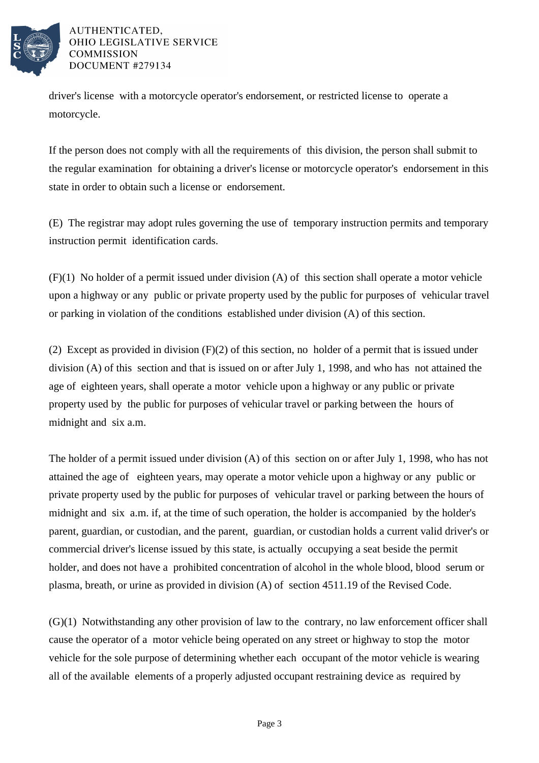

## AUTHENTICATED. OHIO LEGISLATIVE SERVICE **COMMISSION** DOCUMENT #279134

driver's license with a motorcycle operator's endorsement, or restricted license to operate a motorcycle.

If the person does not comply with all the requirements of this division, the person shall submit to the regular examination for obtaining a driver's license or motorcycle operator's endorsement in this state in order to obtain such a license or endorsement.

(E) The registrar may adopt rules governing the use of temporary instruction permits and temporary instruction permit identification cards.

(F)(1) No holder of a permit issued under division (A) of this section shall operate a motor vehicle upon a highway or any public or private property used by the public for purposes of vehicular travel or parking in violation of the conditions established under division (A) of this section.

(2) Except as provided in division (F)(2) of this section, no holder of a permit that is issued under division (A) of this section and that is issued on or after July 1, 1998, and who has not attained the age of eighteen years, shall operate a motor vehicle upon a highway or any public or private property used by the public for purposes of vehicular travel or parking between the hours of midnight and six a.m.

The holder of a permit issued under division (A) of this section on or after July 1, 1998, who has not attained the age of eighteen years, may operate a motor vehicle upon a highway or any public or private property used by the public for purposes of vehicular travel or parking between the hours of midnight and six a.m. if, at the time of such operation, the holder is accompanied by the holder's parent, guardian, or custodian, and the parent, guardian, or custodian holds a current valid driver's or commercial driver's license issued by this state, is actually occupying a seat beside the permit holder, and does not have a prohibited concentration of alcohol in the whole blood, blood serum or plasma, breath, or urine as provided in division (A) of section 4511.19 of the Revised Code.

(G)(1) Notwithstanding any other provision of law to the contrary, no law enforcement officer shall cause the operator of a motor vehicle being operated on any street or highway to stop the motor vehicle for the sole purpose of determining whether each occupant of the motor vehicle is wearing all of the available elements of a properly adjusted occupant restraining device as required by